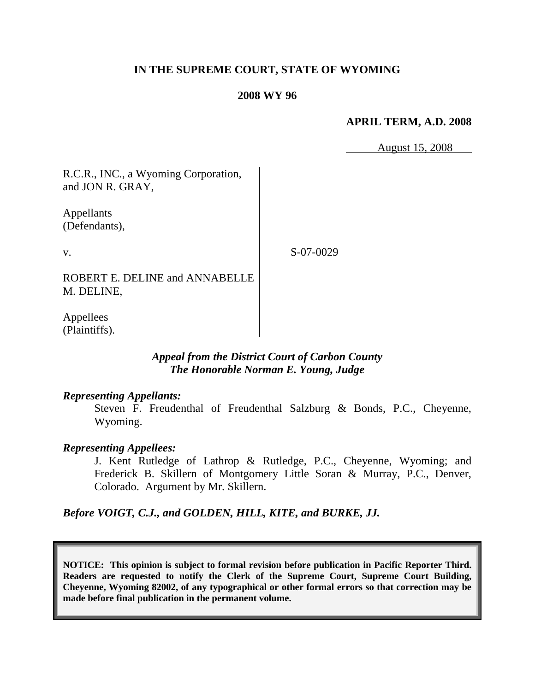## **IN THE SUPREME COURT, STATE OF WYOMING**

#### **2008 WY 96**

#### **APRIL TERM, A.D. 2008**

August 15, 2008

R.C.R., INC., a Wyoming Corporation, and JON R. GRAY,

Appellants (Defendants),

v.

S-07-0029

ROBERT E. DELINE and ANNABELLE M. DELINE,

Appellees (Plaintiffs).

## *Appeal from the District Court of Carbon County The Honorable Norman E. Young, Judge*

#### *Representing Appellants:*

Steven F. Freudenthal of Freudenthal Salzburg & Bonds, P.C., Cheyenne, Wyoming.

### *Representing Appellees:*

J. Kent Rutledge of Lathrop & Rutledge, P.C., Cheyenne, Wyoming; and Frederick B. Skillern of Montgomery Little Soran & Murray, P.C., Denver, Colorado. Argument by Mr. Skillern.

*Before VOIGT, C.J., and GOLDEN, HILL, KITE, and BURKE, JJ.*

**NOTICE: This opinion is subject to formal revision before publication in Pacific Reporter Third. Readers are requested to notify the Clerk of the Supreme Court, Supreme Court Building, Cheyenne, Wyoming 82002, of any typographical or other formal errors so that correction may be made before final publication in the permanent volume.**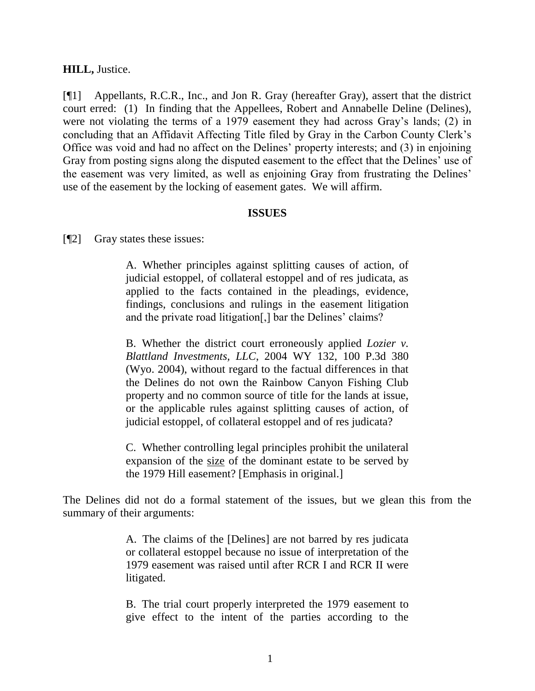#### **HILL,** Justice.

[¶1] Appellants, R.C.R., Inc., and Jon R. Gray (hereafter Gray), assert that the district court erred: (1) In finding that the Appellees, Robert and Annabelle Deline (Delines), were not violating the terms of a 1979 easement they had across Gray's lands; (2) in concluding that an Affidavit Affecting Title filed by Gray in the Carbon County Clerk's Office was void and had no affect on the Delines' property interests; and (3) in enjoining Gray from posting signs along the disputed easement to the effect that the Delines' use of the easement was very limited, as well as enjoining Gray from frustrating the Delines' use of the easement by the locking of easement gates. We will affirm.

#### **ISSUES**

[¶2] Gray states these issues:

A. Whether principles against splitting causes of action, of judicial estoppel, of collateral estoppel and of res judicata, as applied to the facts contained in the pleadings, evidence, findings, conclusions and rulings in the easement litigation and the private road litigation[,] bar the Delines' claims?

B. Whether the district court erroneously applied *Lozier v. Blattland Investments, LLC*, 2004 WY 132, 100 P.3d 380 (Wyo. 2004), without regard to the factual differences in that the Delines do not own the Rainbow Canyon Fishing Club property and no common source of title for the lands at issue, or the applicable rules against splitting causes of action, of judicial estoppel, of collateral estoppel and of res judicata?

C. Whether controlling legal principles prohibit the unilateral expansion of the size of the dominant estate to be served by the 1979 Hill easement? [Emphasis in original.]

The Delines did not do a formal statement of the issues, but we glean this from the summary of their arguments:

> A. The claims of the [Delines] are not barred by res judicata or collateral estoppel because no issue of interpretation of the 1979 easement was raised until after RCR I and RCR II were litigated.

> B. The trial court properly interpreted the 1979 easement to give effect to the intent of the parties according to the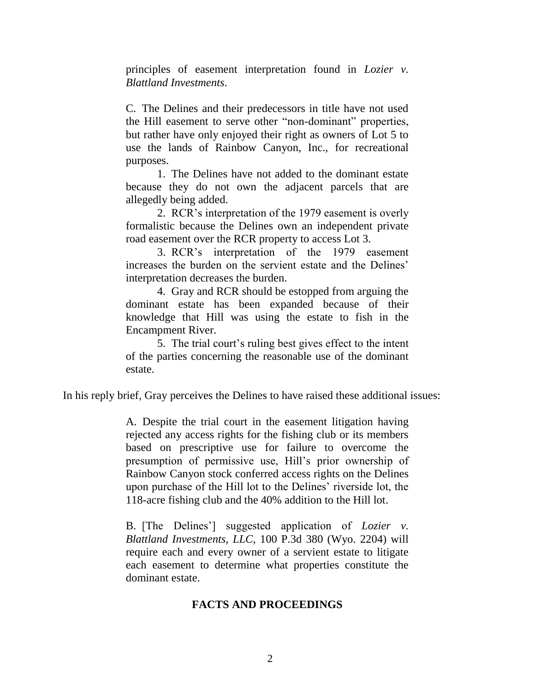principles of easement interpretation found in *Lozier v. Blattland Investments*.

C. The Delines and their predecessors in title have not used the Hill easement to serve other "non-dominant" properties, but rather have only enjoyed their right as owners of Lot 5 to use the lands of Rainbow Canyon, Inc., for recreational purposes.

1. The Delines have not added to the dominant estate because they do not own the adjacent parcels that are allegedly being added.

2. RCR's interpretation of the 1979 easement is overly formalistic because the Delines own an independent private road easement over the RCR property to access Lot 3.

3. RCR's interpretation of the 1979 easement increases the burden on the servient estate and the Delines' interpretation decreases the burden.

4. Gray and RCR should be estopped from arguing the dominant estate has been expanded because of their knowledge that Hill was using the estate to fish in the Encampment River.

5. The trial court's ruling best gives effect to the intent of the parties concerning the reasonable use of the dominant estate.

In his reply brief, Gray perceives the Delines to have raised these additional issues:

A. Despite the trial court in the easement litigation having rejected any access rights for the fishing club or its members based on prescriptive use for failure to overcome the presumption of permissive use, Hill's prior ownership of Rainbow Canyon stock conferred access rights on the Delines upon purchase of the Hill lot to the Delines' riverside lot, the 118-acre fishing club and the 40% addition to the Hill lot.

B. [The Delines'] suggested application of *Lozier v. Blattland Investments, LLC*, 100 P.3d 380 (Wyo. 2204) will require each and every owner of a servient estate to litigate each easement to determine what properties constitute the dominant estate.

## **FACTS AND PROCEEDINGS**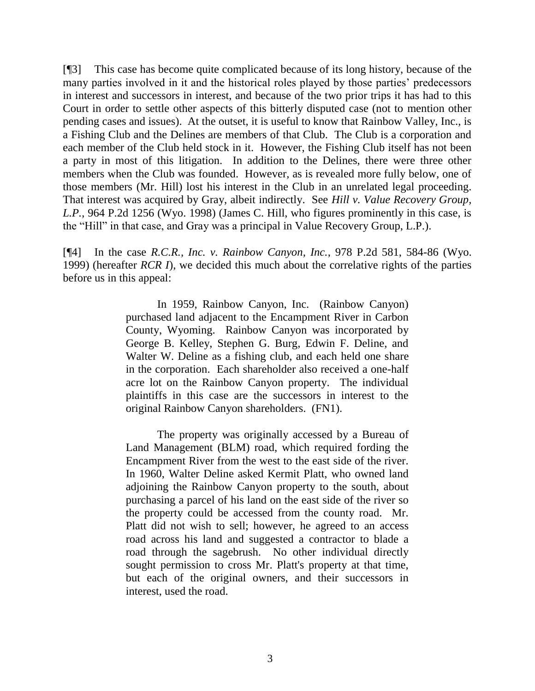[¶3] This case has become quite complicated because of its long history, because of the many parties involved in it and the historical roles played by those parties' predecessors in interest and successors in interest, and because of the two prior trips it has had to this Court in order to settle other aspects of this bitterly disputed case (not to mention other pending cases and issues). At the outset, it is useful to know that Rainbow Valley, Inc., is a Fishing Club and the Delines are members of that Club. The Club is a corporation and each member of the Club held stock in it. However, the Fishing Club itself has not been a party in most of this litigation. In addition to the Delines, there were three other members when the Club was founded. However, as is revealed more fully below, one of those members (Mr. Hill) lost his interest in the Club in an unrelated legal proceeding. That interest was acquired by Gray, albeit indirectly. See *Hill v. Value Recovery Group, L.P.*, 964 P.2d 1256 (Wyo. 1998) (James C. Hill, who figures prominently in this case, is the "Hill" in that case, and Gray was a principal in Value Recovery Group, L.P.).

[¶4] In the case *R.C.R., Inc. v. Rainbow Canyon, Inc.*, 978 P.2d 581, 584-86 (Wyo. 1999) (hereafter *RCR I*), we decided this much about the correlative rights of the parties before us in this appeal:

> In 1959, Rainbow Canyon, Inc. (Rainbow Canyon) purchased land adjacent to the Encampment River in Carbon County, Wyoming. Rainbow Canyon was incorporated by George B. Kelley, Stephen G. Burg, Edwin F. Deline, and Walter W. Deline as a fishing club, and each held one share in the corporation. Each shareholder also received a one-half acre lot on the Rainbow Canyon property. The individual plaintiffs in this case are the successors in interest to the original Rainbow Canyon shareholders. (FN1).

> The property was originally accessed by a Bureau of Land Management (BLM) road, which required fording the Encampment River from the west to the east side of the river. In 1960, Walter Deline asked Kermit Platt, who owned land adjoining the Rainbow Canyon property to the south, about purchasing a parcel of his land on the east side of the river so the property could be accessed from the county road. Mr. Platt did not wish to sell; however, he agreed to an access road across his land and suggested a contractor to blade a road through the sagebrush. No other individual directly sought permission to cross Mr. Platt's property at that time, but each of the original owners, and their successors in interest, used the road.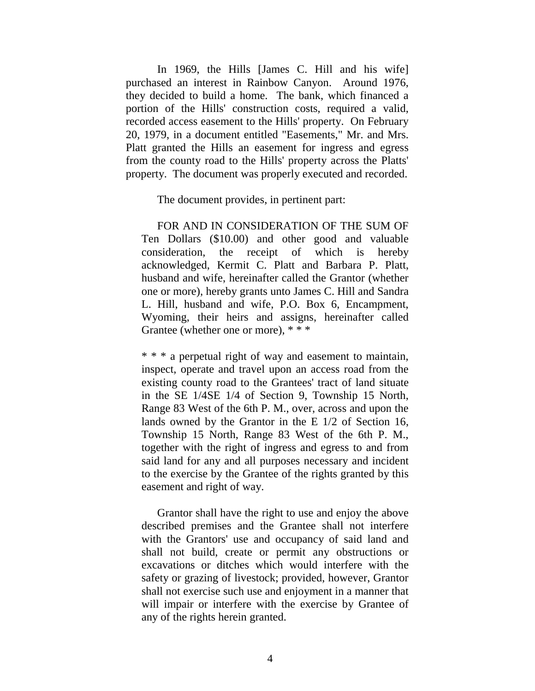In 1969, the Hills [James C. Hill and his wife] purchased an interest in Rainbow Canyon. Around 1976, they decided to build a home. The bank, which financed a portion of the Hills' construction costs, required a valid, recorded access easement to the Hills' property. On February 20, 1979, in a document entitled "Easements," Mr. and Mrs. Platt granted the Hills an easement for ingress and egress from the county road to the Hills' property across the Platts' property. The document was properly executed and recorded.

The document provides, in pertinent part:

FOR AND IN CONSIDERATION OF THE SUM OF Ten Dollars (\$10.00) and other good and valuable consideration, the receipt of which is hereby acknowledged, Kermit C. Platt and Barbara P. Platt, husband and wife, hereinafter called the Grantor (whether one or more), hereby grants unto James C. Hill and Sandra L. Hill, husband and wife, P.O. Box 6, Encampment, Wyoming, their heirs and assigns, hereinafter called Grantee (whether one or more), \* \* \*

\* \* \* a perpetual right of way and easement to maintain, inspect, operate and travel upon an access road from the existing county road to the Grantees' tract of land situate in the SE 1/4SE 1/4 of Section 9, Township 15 North, Range 83 West of the 6th P. M., over, across and upon the lands owned by the Grantor in the E 1/2 of Section 16, Township 15 North, Range 83 West of the 6th P. M., together with the right of ingress and egress to and from said land for any and all purposes necessary and incident to the exercise by the Grantee of the rights granted by this easement and right of way.

Grantor shall have the right to use and enjoy the above described premises and the Grantee shall not interfere with the Grantors' use and occupancy of said land and shall not build, create or permit any obstructions or excavations or ditches which would interfere with the safety or grazing of livestock; provided, however, Grantor shall not exercise such use and enjoyment in a manner that will impair or interfere with the exercise by Grantee of any of the rights herein granted.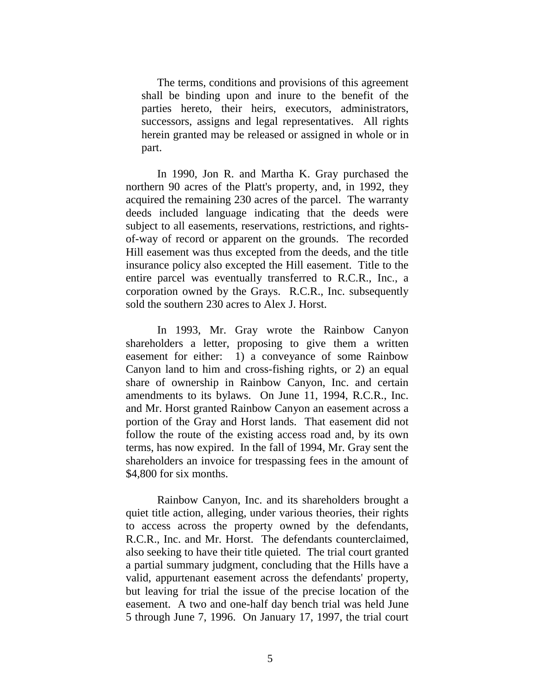The terms, conditions and provisions of this agreement shall be binding upon and inure to the benefit of the parties hereto, their heirs, executors, administrators, successors, assigns and legal representatives. All rights herein granted may be released or assigned in whole or in part.

In 1990, Jon R. and Martha K. Gray purchased the northern 90 acres of the Platt's property, and, in 1992, they acquired the remaining 230 acres of the parcel. The warranty deeds included language indicating that the deeds were subject to all easements, reservations, restrictions, and rightsof-way of record or apparent on the grounds. The recorded Hill easement was thus excepted from the deeds, and the title insurance policy also excepted the Hill easement. Title to the entire parcel was eventually transferred to R.C.R., Inc., a corporation owned by the Grays. R.C.R., Inc. subsequently sold the southern 230 acres to Alex J. Horst.

In 1993, Mr. Gray wrote the Rainbow Canyon shareholders a letter, proposing to give them a written easement for either: 1) a conveyance of some Rainbow Canyon land to him and cross-fishing rights, or 2) an equal share of ownership in Rainbow Canyon, Inc. and certain amendments to its bylaws. On June 11, 1994, R.C.R., Inc. and Mr. Horst granted Rainbow Canyon an easement across a portion of the Gray and Horst lands. That easement did not follow the route of the existing access road and, by its own terms, has now expired. In the fall of 1994, Mr. Gray sent the shareholders an invoice for trespassing fees in the amount of \$4,800 for six months.

Rainbow Canyon, Inc. and its shareholders brought a quiet title action, alleging, under various theories, their rights to access across the property owned by the defendants, R.C.R., Inc. and Mr. Horst. The defendants counterclaimed, also seeking to have their title quieted. The trial court granted a partial summary judgment, concluding that the Hills have a valid, appurtenant easement across the defendants' property, but leaving for trial the issue of the precise location of the easement. A two and one-half day bench trial was held June 5 through June 7, 1996. On January 17, 1997, the trial court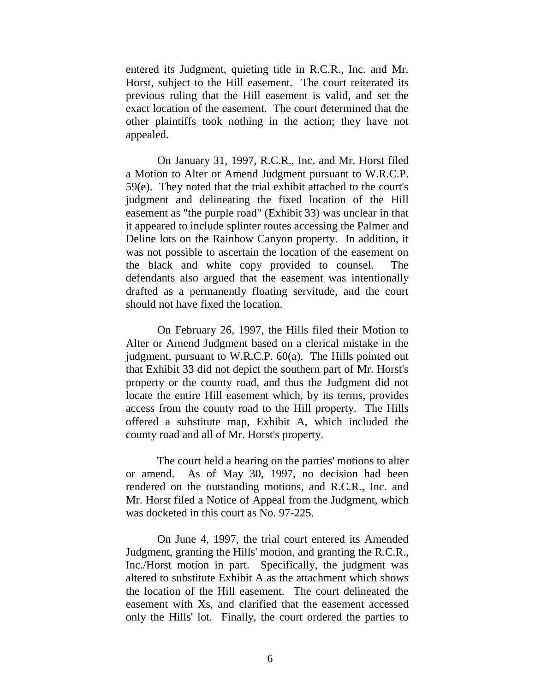entered its Judgment, quieting title in R.C.R., Inc. and Mr. Horst, subject to the Hill easement. The court reiterated its previous ruling that the Hill easement is valid, and set the exact location of the easement. The court determined that the other plaintiffs took nothing in the action; they have not appealed.

On January 31, 1997, R.C.R., Inc. and Mr. Horst filed a Motion to Alter or Amend Judgment pursuant to W.R.C.P. 59(e). They noted that the trial exhibit attached to the court's judgment and delineating the fixed location of the Hill easement as "the purple road" (Exhibit 33) was unclear in that it appeared to include splinter routes accessing the Palmer and Deline lots on the Rainbow Canyon property. In addition, it was not possible to ascertain the location of the easement on the black and white copy provided to counsel. The defendants also argued that the easement was intentionally drafted as a permanently floating servitude, and the court should not have fixed the location.

On February 26, 1997, the Hills filed their Motion to Alter or Amend Judgment based on a clerical mistake in the judgment, pursuant to W.R.C.P. 60(a). The Hills pointed out that Exhibit 33 did not depict the southern part of Mr. Horst's property or the county road, and thus the Judgment did not locate the entire Hill easement which, by its terms, provides access from the county road to the Hill property. The Hills offered a substitute map, Exhibit A, which included the county road and all of Mr. Horst's property.

The court held a hearing on the parties' motions to alter or amend. As of May 30, 1997, no decision had been rendered on the outstanding motions, and R.C.R., Inc. and Mr. Horst filed a Notice of Appeal from the Judgment, which was docketed in this court as No. 97-225.

On June 4, 1997, the trial court entered its Amended Judgment, granting the Hills' motion, and granting the R.C.R., Inc./Horst motion in part. Specifically, the judgment was altered to substitute Exhibit A as the attachment which shows the location of the Hill easement. The court delineated the easement with Xs, and clarified that the easement accessed only the Hills' lot. Finally, the court ordered the parties to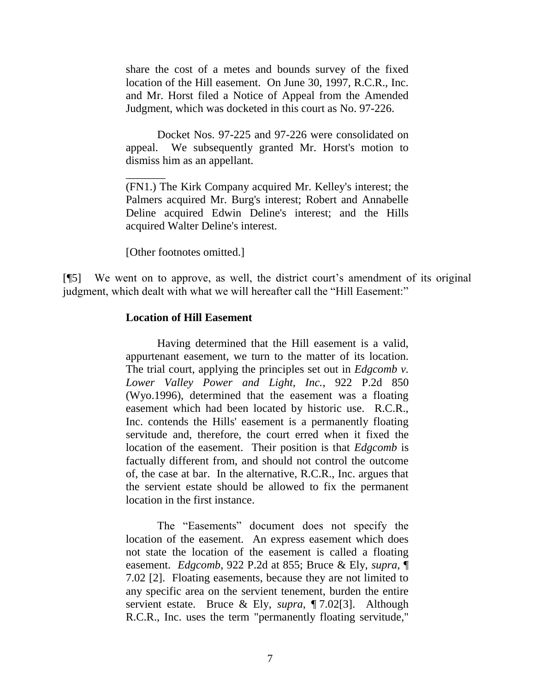share the cost of a metes and bounds survey of the fixed location of the Hill easement. On June 30, 1997, R.C.R., Inc. and Mr. Horst filed a Notice of Appeal from the Amended Judgment, which was docketed in this court as No. 97-226.

Docket Nos. 97-225 and 97-226 were consolidated on appeal. We subsequently granted Mr. Horst's motion to dismiss him as an appellant.

(FN1.) The Kirk Company acquired Mr. Kelley's interest; the Palmers acquired Mr. Burg's interest; Robert and Annabelle Deline acquired Edwin Deline's interest; and the Hills acquired Walter Deline's interest.

[Other footnotes omitted.]

\_\_\_\_\_\_\_

[¶5] We went on to approve, as well, the district court's amendment of its original judgment, which dealt with what we will hereafter call the "Hill Easement:"

#### **Location of Hill Easement**

Having determined that the Hill easement is a valid, appurtenant easement, we turn to the matter of its location. The trial court, applying the principles set out in *Edgcomb v. Lower Valley Power and Light, Inc.*, 922 P.2d 850 (Wyo.1996), determined that the easement was a floating easement which had been located by historic use. R.C.R., Inc. contends the Hills' easement is a permanently floating servitude and, therefore, the court erred when it fixed the location of the easement. Their position is that *Edgcomb* is factually different from, and should not control the outcome of, the case at bar. In the alternative, R.C.R., Inc. argues that the servient estate should be allowed to fix the permanent location in the first instance.

The "Easements" document does not specify the location of the easement. An express easement which does not state the location of the easement is called a floating easement. *Edgcomb*, 922 P.2d at 855; Bruce & Ely, *supra*, ¶ 7.02 [2]. Floating easements, because they are not limited to any specific area on the servient tenement, burden the entire servient estate. Bruce & Ely, *supra*, ¶ 7.02[3]. Although R.C.R., Inc. uses the term "permanently floating servitude,"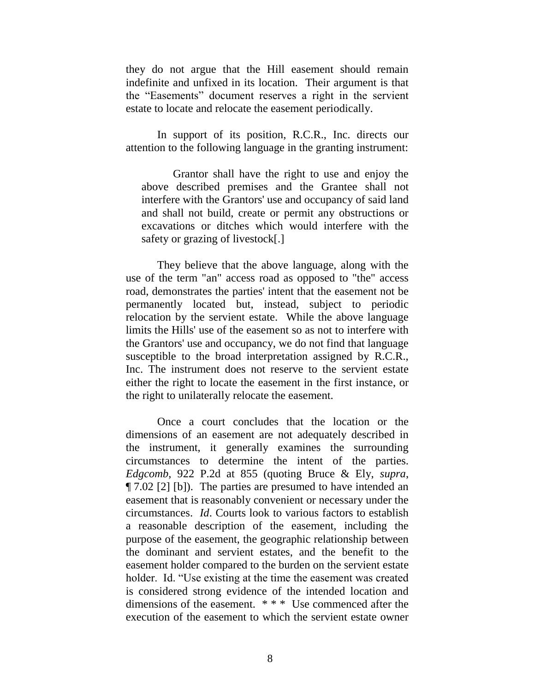they do not argue that the Hill easement should remain indefinite and unfixed in its location. Their argument is that the "Easements" document reserves a right in the servient estate to locate and relocate the easement periodically.

In support of its position, R.C.R., Inc. directs our attention to the following language in the granting instrument:

Grantor shall have the right to use and enjoy the above described premises and the Grantee shall not interfere with the Grantors' use and occupancy of said land and shall not build, create or permit any obstructions or excavations or ditches which would interfere with the safety or grazing of livestock[.]

They believe that the above language, along with the use of the term "an" access road as opposed to "the" access road, demonstrates the parties' intent that the easement not be permanently located but, instead, subject to periodic relocation by the servient estate. While the above language limits the Hills' use of the easement so as not to interfere with the Grantors' use and occupancy, we do not find that language susceptible to the broad interpretation assigned by R.C.R., Inc. The instrument does not reserve to the servient estate either the right to locate the easement in the first instance, or the right to unilaterally relocate the easement.

Once a court concludes that the location or the dimensions of an easement are not adequately described in the instrument, it generally examines the surrounding circumstances to determine the intent of the parties. *Edgcomb*, 922 P.2d at 855 (quoting Bruce & Ely, *supra*, ¶ 7.02 [2] [b]). The parties are presumed to have intended an easement that is reasonably convenient or necessary under the circumstances. *Id*. Courts look to various factors to establish a reasonable description of the easement, including the purpose of the easement, the geographic relationship between the dominant and servient estates, and the benefit to the easement holder compared to the burden on the servient estate holder. Id. "Use existing at the time the easement was created is considered strong evidence of the intended location and dimensions of the easement. \* \* \* Use commenced after the execution of the easement to which the servient estate owner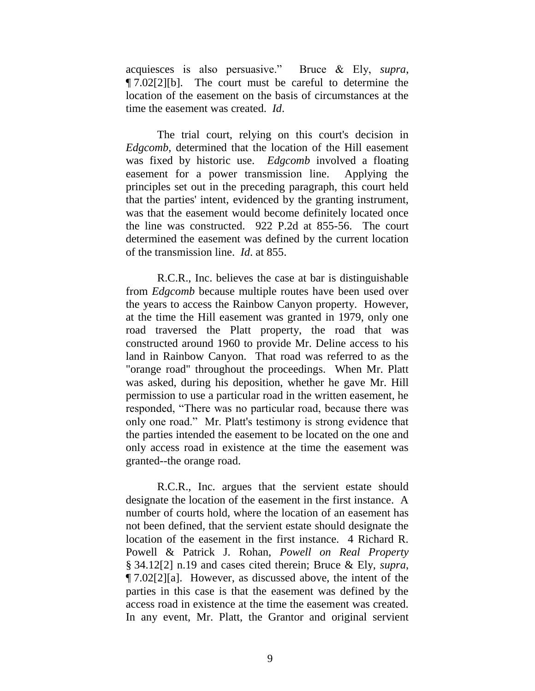acquiesces is also persuasive." Bruce & Ely, *supra*, ¶ 7.02[2][b]. The court must be careful to determine the location of the easement on the basis of circumstances at the time the easement was created. *Id*.

The trial court, relying on this court's decision in *Edgcomb*, determined that the location of the Hill easement was fixed by historic use. *Edgcomb* involved a floating easement for a power transmission line. Applying the principles set out in the preceding paragraph, this court held that the parties' intent, evidenced by the granting instrument, was that the easement would become definitely located once the line was constructed. 922 P.2d at 855-56. The court determined the easement was defined by the current location of the transmission line. *Id*. at 855.

R.C.R., Inc. believes the case at bar is distinguishable from *Edgcomb* because multiple routes have been used over the years to access the Rainbow Canyon property. However, at the time the Hill easement was granted in 1979, only one road traversed the Platt property, the road that was constructed around 1960 to provide Mr. Deline access to his land in Rainbow Canyon. That road was referred to as the "orange road" throughout the proceedings. When Mr. Platt was asked, during his deposition, whether he gave Mr. Hill permission to use a particular road in the written easement, he responded, "There was no particular road, because there was only one road." Mr. Platt's testimony is strong evidence that the parties intended the easement to be located on the one and only access road in existence at the time the easement was granted--the orange road.

R.C.R., Inc. argues that the servient estate should designate the location of the easement in the first instance. A number of courts hold, where the location of an easement has not been defined, that the servient estate should designate the location of the easement in the first instance. 4 Richard R. Powell & Patrick J. Rohan, *Powell on Real Property* § 34.12[2] n.19 and cases cited therein; Bruce & Ely, *supra*, ¶ 7.02[2][a]. However, as discussed above, the intent of the parties in this case is that the easement was defined by the access road in existence at the time the easement was created. In any event, Mr. Platt, the Grantor and original servient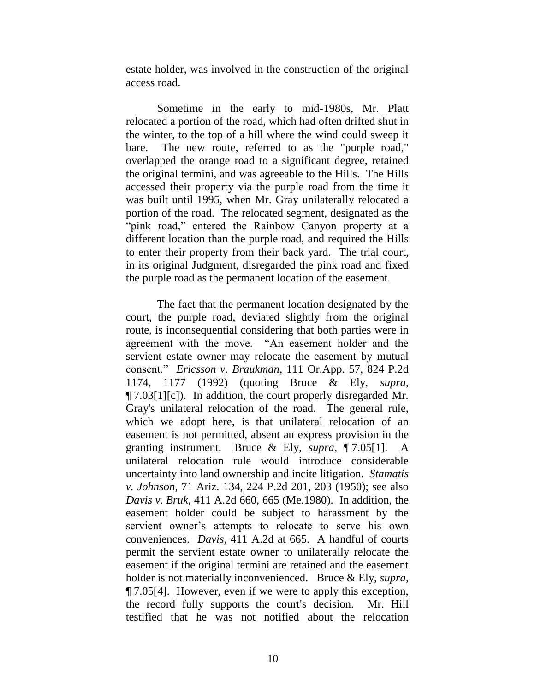estate holder, was involved in the construction of the original access road.

Sometime in the early to mid-1980s, Mr. Platt relocated a portion of the road, which had often drifted shut in the winter, to the top of a hill where the wind could sweep it bare. The new route, referred to as the "purple road," overlapped the orange road to a significant degree, retained the original termini, and was agreeable to the Hills. The Hills accessed their property via the purple road from the time it was built until 1995, when Mr. Gray unilaterally relocated a portion of the road. The relocated segment, designated as the "pink road," entered the Rainbow Canyon property at a different location than the purple road, and required the Hills to enter their property from their back yard. The trial court, in its original Judgment, disregarded the pink road and fixed the purple road as the permanent location of the easement.

The fact that the permanent location designated by the court, the purple road, deviated slightly from the original route, is inconsequential considering that both parties were in agreement with the move. "An easement holder and the servient estate owner may relocate the easement by mutual consent." *Ericsson v. Braukman*, 111 Or.App. 57, 824 P.2d 1174, 1177 (1992) (quoting Bruce & Ely, *supra*, ¶ 7.03[1][c]). In addition, the court properly disregarded Mr. Gray's unilateral relocation of the road. The general rule, which we adopt here, is that unilateral relocation of an easement is not permitted, absent an express provision in the granting instrument. Bruce & Ely, *supra*, ¶ 7.05[1]. A unilateral relocation rule would introduce considerable uncertainty into land ownership and incite litigation. *Stamatis v. Johnson*, 71 Ariz. 134, 224 P.2d 201, 203 (1950); see also *Davis v. Bruk*, 411 A.2d 660, 665 (Me.1980). In addition, the easement holder could be subject to harassment by the servient owner's attempts to relocate to serve his own conveniences. *Davis*, 411 A.2d at 665. A handful of courts permit the servient estate owner to unilaterally relocate the easement if the original termini are retained and the easement holder is not materially inconvenienced. Bruce & Ely, *supra*, ¶ 7.05[4]. However, even if we were to apply this exception, the record fully supports the court's decision. Mr. Hill testified that he was not notified about the relocation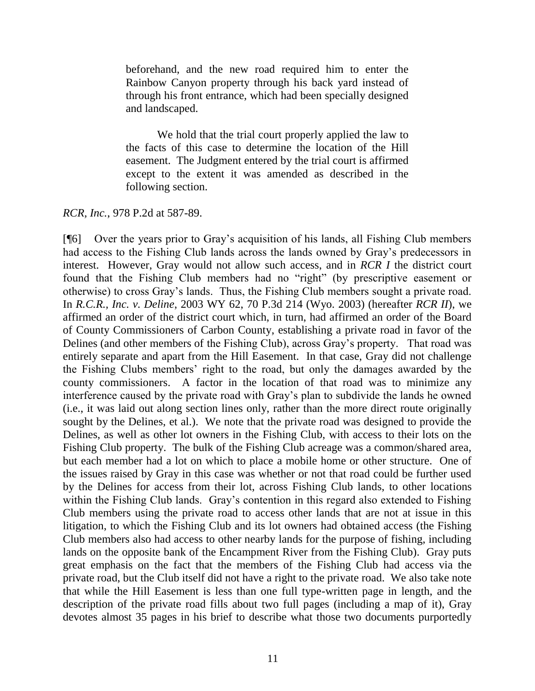beforehand, and the new road required him to enter the Rainbow Canyon property through his back yard instead of through his front entrance, which had been specially designed and landscaped.

We hold that the trial court properly applied the law to the facts of this case to determine the location of the Hill easement. The Judgment entered by the trial court is affirmed except to the extent it was amended as described in the following section.

*RCR, Inc.*, 978 P.2d at 587-89.

[¶6] Over the years prior to Gray's acquisition of his lands, all Fishing Club members had access to the Fishing Club lands across the lands owned by Gray's predecessors in interest. However, Gray would not allow such access, and in *RCR I* the district court found that the Fishing Club members had no "right" (by prescriptive easement or otherwise) to cross Gray's lands. Thus, the Fishing Club members sought a private road. In *R.C.R., Inc. v. Deline*, 2003 WY 62, 70 P.3d 214 (Wyo. 2003) (hereafter *RCR II*), we affirmed an order of the district court which, in turn, had affirmed an order of the Board of County Commissioners of Carbon County, establishing a private road in favor of the Delines (and other members of the Fishing Club), across Gray's property. That road was entirely separate and apart from the Hill Easement. In that case, Gray did not challenge the Fishing Clubs members' right to the road, but only the damages awarded by the county commissioners. A factor in the location of that road was to minimize any interference caused by the private road with Gray's plan to subdivide the lands he owned (i.e., it was laid out along section lines only, rather than the more direct route originally sought by the Delines, et al.). We note that the private road was designed to provide the Delines, as well as other lot owners in the Fishing Club, with access to their lots on the Fishing Club property. The bulk of the Fishing Club acreage was a common/shared area, but each member had a lot on which to place a mobile home or other structure. One of the issues raised by Gray in this case was whether or not that road could be further used by the Delines for access from their lot, across Fishing Club lands, to other locations within the Fishing Club lands. Gray's contention in this regard also extended to Fishing Club members using the private road to access other lands that are not at issue in this litigation, to which the Fishing Club and its lot owners had obtained access (the Fishing Club members also had access to other nearby lands for the purpose of fishing, including lands on the opposite bank of the Encampment River from the Fishing Club). Gray puts great emphasis on the fact that the members of the Fishing Club had access via the private road, but the Club itself did not have a right to the private road. We also take note that while the Hill Easement is less than one full type-written page in length, and the description of the private road fills about two full pages (including a map of it), Gray devotes almost 35 pages in his brief to describe what those two documents purportedly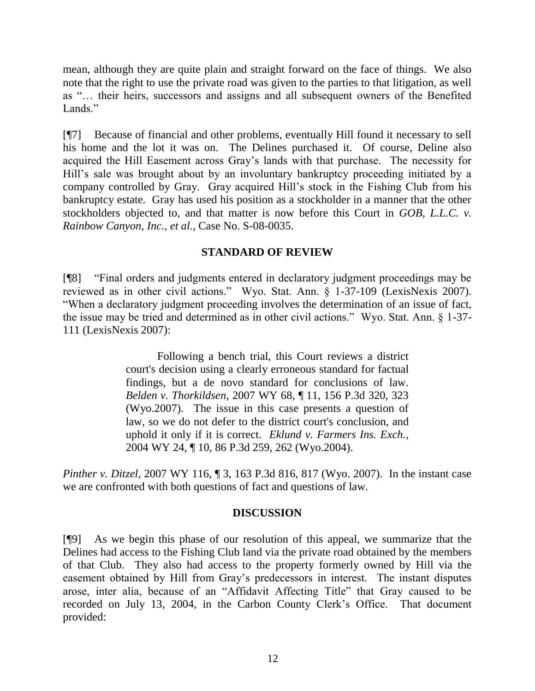mean, although they are quite plain and straight forward on the face of things. We also note that the right to use the private road was given to the parties to that litigation, as well as "… their heirs, successors and assigns and all subsequent owners of the Benefited Lands<sup>"</sup>

[¶7] Because of financial and other problems, eventually Hill found it necessary to sell his home and the lot it was on. The Delines purchased it. Of course, Deline also acquired the Hill Easement across Gray's lands with that purchase. The necessity for Hill's sale was brought about by an involuntary bankruptcy proceeding initiated by a company controlled by Gray. Gray acquired Hill's stock in the Fishing Club from his bankruptcy estate. Gray has used his position as a stockholder in a manner that the other stockholders objected to, and that matter is now before this Court in *GOB, L.L.C. v. Rainbow Canyon, Inc., et al.*, Case No. S-08-0035.

## **STANDARD OF REVIEW**

[¶8] "Final orders and judgments entered in declaratory judgment proceedings may be reviewed as in other civil actions." Wyo. Stat. Ann. § 1-37-109 (LexisNexis 2007). "When a declaratory judgment proceeding involves the determination of an issue of fact, the issue may be tried and determined as in other civil actions." Wyo. Stat. Ann. § 1-37- 111 (LexisNexis 2007):

> Following a bench trial, this Court reviews a district court's decision using a clearly erroneous standard for factual findings, but a de novo standard for conclusions of law. *Belden v. Thorkildsen*, 2007 WY 68, ¶ 11, 156 P.3d 320, 323 (Wyo.2007). The issue in this case presents a question of law, so we do not defer to the district court's conclusion, and uphold it only if it is correct. *Eklund v. Farmers Ins. Exch.*, 2004 WY 24, ¶ 10, 86 P.3d 259, 262 (Wyo.2004).

*Pinther v. Ditzel*, 2007 WY 116, 13, 163 P.3d 816, 817 (Wyo. 2007). In the instant case we are confronted with both questions of fact and questions of law.

### **DISCUSSION**

[¶9] As we begin this phase of our resolution of this appeal, we summarize that the Delines had access to the Fishing Club land via the private road obtained by the members of that Club. They also had access to the property formerly owned by Hill via the easement obtained by Hill from Gray's predecessors in interest. The instant disputes arose, inter alia, because of an "Affidavit Affecting Title" that Gray caused to be recorded on July 13, 2004, in the Carbon County Clerk's Office. That document provided: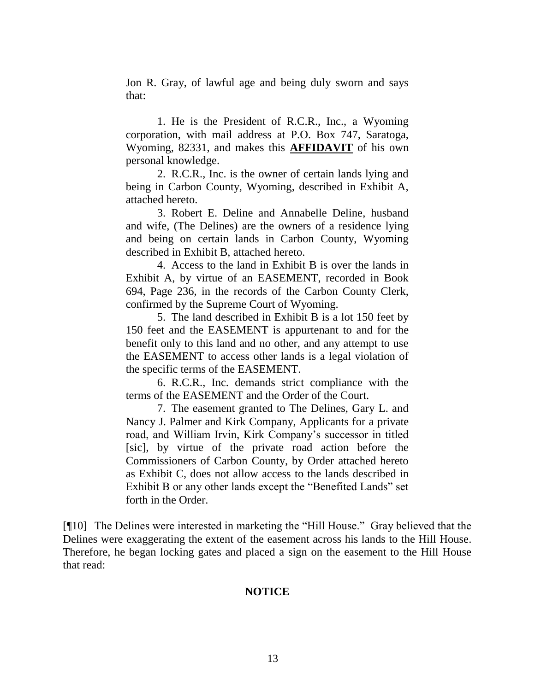Jon R. Gray, of lawful age and being duly sworn and says that:

1. He is the President of R.C.R., Inc., a Wyoming corporation, with mail address at P.O. Box 747, Saratoga, Wyoming, 82331, and makes this **AFFIDAVIT** of his own personal knowledge.

2. R.C.R., Inc. is the owner of certain lands lying and being in Carbon County, Wyoming, described in Exhibit A, attached hereto.

3. Robert E. Deline and Annabelle Deline, husband and wife, (The Delines) are the owners of a residence lying and being on certain lands in Carbon County, Wyoming described in Exhibit B, attached hereto.

4. Access to the land in Exhibit B is over the lands in Exhibit A, by virtue of an EASEMENT, recorded in Book 694, Page 236, in the records of the Carbon County Clerk, confirmed by the Supreme Court of Wyoming.

5. The land described in Exhibit B is a lot 150 feet by 150 feet and the EASEMENT is appurtenant to and for the benefit only to this land and no other, and any attempt to use the EASEMENT to access other lands is a legal violation of the specific terms of the EASEMENT.

6. R.C.R., Inc. demands strict compliance with the terms of the EASEMENT and the Order of the Court.

7. The easement granted to The Delines, Gary L. and Nancy J. Palmer and Kirk Company, Applicants for a private road, and William Irvin, Kirk Company's successor in titled [sic], by virtue of the private road action before the Commissioners of Carbon County, by Order attached hereto as Exhibit C, does not allow access to the lands described in Exhibit B or any other lands except the "Benefited Lands" set forth in the Order.

[¶10] The Delines were interested in marketing the "Hill House." Gray believed that the Delines were exaggerating the extent of the easement across his lands to the Hill House. Therefore, he began locking gates and placed a sign on the easement to the Hill House that read:

### **NOTICE**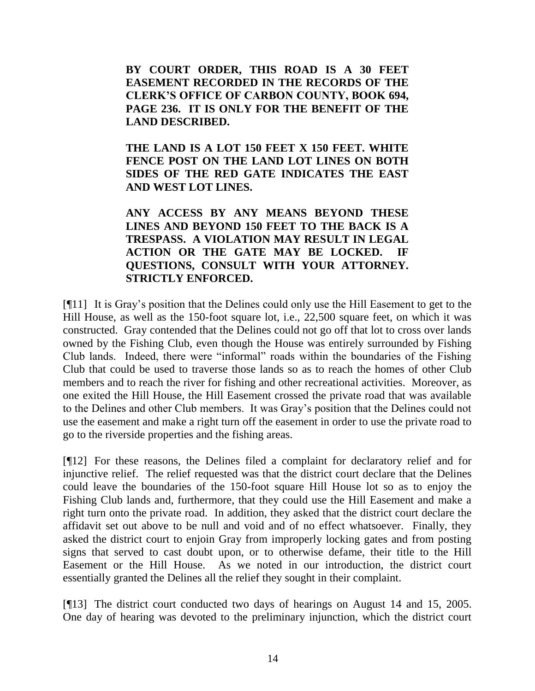**BY COURT ORDER, THIS ROAD IS A 30 FEET EASEMENT RECORDED IN THE RECORDS OF THE CLERK'S OFFICE OF CARBON COUNTY, BOOK 694, PAGE 236. IT IS ONLY FOR THE BENEFIT OF THE LAND DESCRIBED.**

**THE LAND IS A LOT 150 FEET X 150 FEET. WHITE FENCE POST ON THE LAND LOT LINES ON BOTH SIDES OF THE RED GATE INDICATES THE EAST AND WEST LOT LINES.**

**ANY ACCESS BY ANY MEANS BEYOND THESE LINES AND BEYOND 150 FEET TO THE BACK IS A TRESPASS. A VIOLATION MAY RESULT IN LEGAL ACTION OR THE GATE MAY BE LOCKED. IF QUESTIONS, CONSULT WITH YOUR ATTORNEY. STRICTLY ENFORCED.**

[¶11] It is Gray's position that the Delines could only use the Hill Easement to get to the Hill House, as well as the 150-foot square lot, i.e., 22,500 square feet, on which it was constructed. Gray contended that the Delines could not go off that lot to cross over lands owned by the Fishing Club, even though the House was entirely surrounded by Fishing Club lands. Indeed, there were "informal" roads within the boundaries of the Fishing Club that could be used to traverse those lands so as to reach the homes of other Club members and to reach the river for fishing and other recreational activities. Moreover, as one exited the Hill House, the Hill Easement crossed the private road that was available to the Delines and other Club members. It was Gray's position that the Delines could not use the easement and make a right turn off the easement in order to use the private road to go to the riverside properties and the fishing areas.

[¶12] For these reasons, the Delines filed a complaint for declaratory relief and for injunctive relief. The relief requested was that the district court declare that the Delines could leave the boundaries of the 150-foot square Hill House lot so as to enjoy the Fishing Club lands and, furthermore, that they could use the Hill Easement and make a right turn onto the private road. In addition, they asked that the district court declare the affidavit set out above to be null and void and of no effect whatsoever. Finally, they asked the district court to enjoin Gray from improperly locking gates and from posting signs that served to cast doubt upon, or to otherwise defame, their title to the Hill Easement or the Hill House. As we noted in our introduction, the district court essentially granted the Delines all the relief they sought in their complaint.

[¶13] The district court conducted two days of hearings on August 14 and 15, 2005. One day of hearing was devoted to the preliminary injunction, which the district court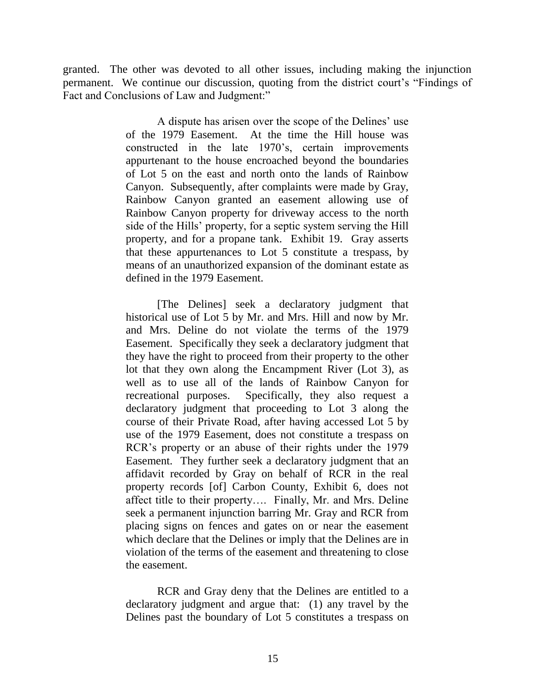granted. The other was devoted to all other issues, including making the injunction permanent. We continue our discussion, quoting from the district court's "Findings of Fact and Conclusions of Law and Judgment:"

> A dispute has arisen over the scope of the Delines' use of the 1979 Easement. At the time the Hill house was constructed in the late 1970's, certain improvements appurtenant to the house encroached beyond the boundaries of Lot 5 on the east and north onto the lands of Rainbow Canyon. Subsequently, after complaints were made by Gray, Rainbow Canyon granted an easement allowing use of Rainbow Canyon property for driveway access to the north side of the Hills' property, for a septic system serving the Hill property, and for a propane tank. Exhibit 19. Gray asserts that these appurtenances to Lot 5 constitute a trespass, by means of an unauthorized expansion of the dominant estate as defined in the 1979 Easement.

> [The Delines] seek a declaratory judgment that historical use of Lot 5 by Mr. and Mrs. Hill and now by Mr. and Mrs. Deline do not violate the terms of the 1979 Easement. Specifically they seek a declaratory judgment that they have the right to proceed from their property to the other lot that they own along the Encampment River (Lot 3), as well as to use all of the lands of Rainbow Canyon for recreational purposes. Specifically, they also request a declaratory judgment that proceeding to Lot 3 along the course of their Private Road, after having accessed Lot 5 by use of the 1979 Easement, does not constitute a trespass on RCR's property or an abuse of their rights under the 1979 Easement. They further seek a declaratory judgment that an affidavit recorded by Gray on behalf of RCR in the real property records [of] Carbon County, Exhibit 6, does not affect title to their property…. Finally, Mr. and Mrs. Deline seek a permanent injunction barring Mr. Gray and RCR from placing signs on fences and gates on or near the easement which declare that the Delines or imply that the Delines are in violation of the terms of the easement and threatening to close the easement.

> RCR and Gray deny that the Delines are entitled to a declaratory judgment and argue that: (1) any travel by the Delines past the boundary of Lot 5 constitutes a trespass on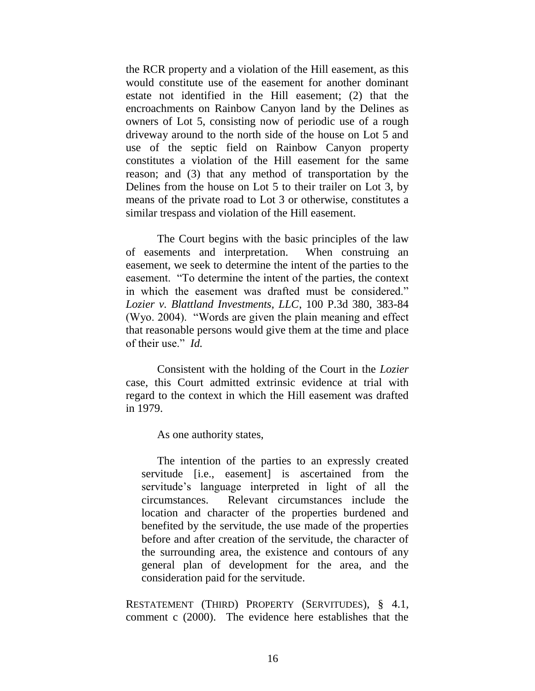the RCR property and a violation of the Hill easement, as this would constitute use of the easement for another dominant estate not identified in the Hill easement; (2) that the encroachments on Rainbow Canyon land by the Delines as owners of Lot 5, consisting now of periodic use of a rough driveway around to the north side of the house on Lot 5 and use of the septic field on Rainbow Canyon property constitutes a violation of the Hill easement for the same reason; and (3) that any method of transportation by the Delines from the house on Lot 5 to their trailer on Lot 3, by means of the private road to Lot 3 or otherwise, constitutes a similar trespass and violation of the Hill easement.

The Court begins with the basic principles of the law of easements and interpretation. When construing an easement, we seek to determine the intent of the parties to the easement. "To determine the intent of the parties, the context in which the easement was drafted must be considered." *Lozier v. Blattland Investments, LLC*, 100 P.3d 380, 383-84 (Wyo. 2004). "Words are given the plain meaning and effect that reasonable persons would give them at the time and place of their use." *Id.*

Consistent with the holding of the Court in the *Lozier* case, this Court admitted extrinsic evidence at trial with regard to the context in which the Hill easement was drafted in 1979.

As one authority states,

The intention of the parties to an expressly created servitude [i.e., easement] is ascertained from the servitude's language interpreted in light of all the circumstances. Relevant circumstances include the location and character of the properties burdened and benefited by the servitude, the use made of the properties before and after creation of the servitude, the character of the surrounding area, the existence and contours of any general plan of development for the area, and the consideration paid for the servitude.

RESTATEMENT (THIRD) PROPERTY (SERVITUDES), § 4.1, comment c (2000). The evidence here establishes that the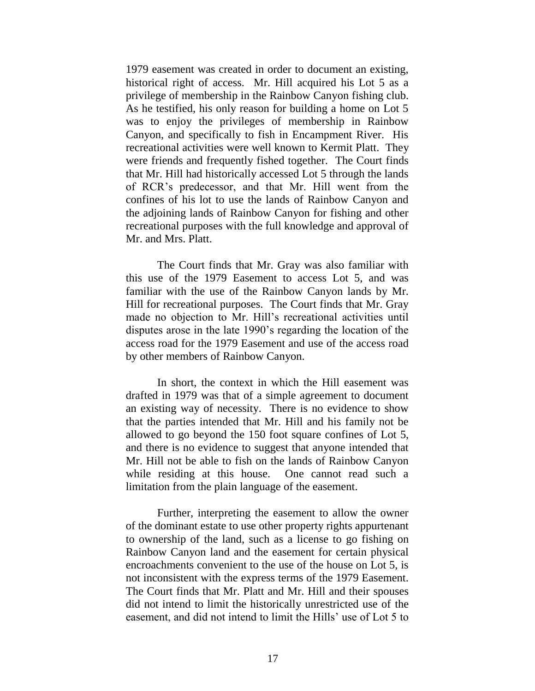1979 easement was created in order to document an existing, historical right of access. Mr. Hill acquired his Lot 5 as a privilege of membership in the Rainbow Canyon fishing club. As he testified, his only reason for building a home on Lot 5 was to enjoy the privileges of membership in Rainbow Canyon, and specifically to fish in Encampment River. His recreational activities were well known to Kermit Platt. They were friends and frequently fished together. The Court finds that Mr. Hill had historically accessed Lot 5 through the lands of RCR's predecessor, and that Mr. Hill went from the confines of his lot to use the lands of Rainbow Canyon and the adjoining lands of Rainbow Canyon for fishing and other recreational purposes with the full knowledge and approval of Mr. and Mrs. Platt.

The Court finds that Mr. Gray was also familiar with this use of the 1979 Easement to access Lot 5, and was familiar with the use of the Rainbow Canyon lands by Mr. Hill for recreational purposes. The Court finds that Mr. Gray made no objection to Mr. Hill's recreational activities until disputes arose in the late 1990's regarding the location of the access road for the 1979 Easement and use of the access road by other members of Rainbow Canyon.

In short, the context in which the Hill easement was drafted in 1979 was that of a simple agreement to document an existing way of necessity. There is no evidence to show that the parties intended that Mr. Hill and his family not be allowed to go beyond the 150 foot square confines of Lot 5, and there is no evidence to suggest that anyone intended that Mr. Hill not be able to fish on the lands of Rainbow Canyon while residing at this house. One cannot read such a limitation from the plain language of the easement.

Further, interpreting the easement to allow the owner of the dominant estate to use other property rights appurtenant to ownership of the land, such as a license to go fishing on Rainbow Canyon land and the easement for certain physical encroachments convenient to the use of the house on Lot 5, is not inconsistent with the express terms of the 1979 Easement. The Court finds that Mr. Platt and Mr. Hill and their spouses did not intend to limit the historically unrestricted use of the easement, and did not intend to limit the Hills' use of Lot 5 to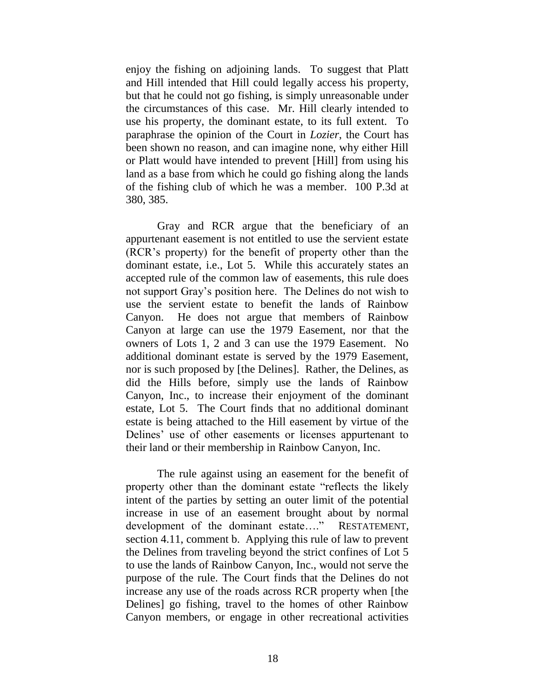enjoy the fishing on adjoining lands. To suggest that Platt and Hill intended that Hill could legally access his property, but that he could not go fishing, is simply unreasonable under the circumstances of this case. Mr. Hill clearly intended to use his property, the dominant estate, to its full extent. To paraphrase the opinion of the Court in *Lozier*, the Court has been shown no reason, and can imagine none, why either Hill or Platt would have intended to prevent [Hill] from using his land as a base from which he could go fishing along the lands of the fishing club of which he was a member. 100 P.3d at 380, 385.

Gray and RCR argue that the beneficiary of an appurtenant easement is not entitled to use the servient estate (RCR's property) for the benefit of property other than the dominant estate, i.e., Lot 5. While this accurately states an accepted rule of the common law of easements, this rule does not support Gray's position here. The Delines do not wish to use the servient estate to benefit the lands of Rainbow Canyon. He does not argue that members of Rainbow Canyon at large can use the 1979 Easement, nor that the owners of Lots 1, 2 and 3 can use the 1979 Easement. No additional dominant estate is served by the 1979 Easement, nor is such proposed by [the Delines]. Rather, the Delines, as did the Hills before, simply use the lands of Rainbow Canyon, Inc., to increase their enjoyment of the dominant estate, Lot 5. The Court finds that no additional dominant estate is being attached to the Hill easement by virtue of the Delines' use of other easements or licenses appurtenant to their land or their membership in Rainbow Canyon, Inc.

The rule against using an easement for the benefit of property other than the dominant estate "reflects the likely intent of the parties by setting an outer limit of the potential increase in use of an easement brought about by normal development of the dominant estate…." RESTATEMENT, section 4.11, comment b. Applying this rule of law to prevent the Delines from traveling beyond the strict confines of Lot 5 to use the lands of Rainbow Canyon, Inc., would not serve the purpose of the rule. The Court finds that the Delines do not increase any use of the roads across RCR property when [the Delines] go fishing, travel to the homes of other Rainbow Canyon members, or engage in other recreational activities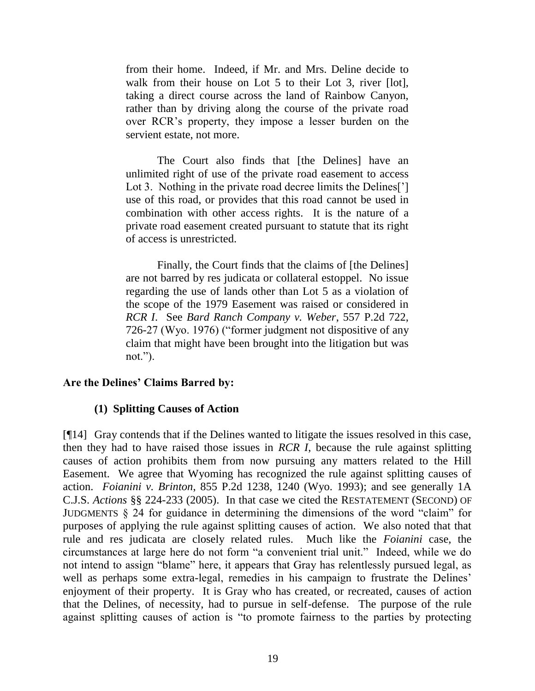from their home. Indeed, if Mr. and Mrs. Deline decide to walk from their house on Lot 5 to their Lot 3, river [lot], taking a direct course across the land of Rainbow Canyon, rather than by driving along the course of the private road over RCR's property, they impose a lesser burden on the servient estate, not more.

The Court also finds that [the Delines] have an unlimited right of use of the private road easement to access Lot 3. Nothing in the private road decree limits the Delines<sup>[']</sup> use of this road, or provides that this road cannot be used in combination with other access rights. It is the nature of a private road easement created pursuant to statute that its right of access is unrestricted.

Finally, the Court finds that the claims of [the Delines] are not barred by res judicata or collateral estoppel. No issue regarding the use of lands other than Lot 5 as a violation of the scope of the 1979 Easement was raised or considered in *RCR I*. See *Bard Ranch Company v. Weber*, 557 P.2d 722, 726-27 (Wyo. 1976) ("former judgment not dispositive of any claim that might have been brought into the litigation but was not.").

### **Are the Delines' Claims Barred by:**

### **(1) Splitting Causes of Action**

[¶14] Gray contends that if the Delines wanted to litigate the issues resolved in this case, then they had to have raised those issues in *RCR I*, because the rule against splitting causes of action prohibits them from now pursuing any matters related to the Hill Easement. We agree that Wyoming has recognized the rule against splitting causes of action. *Foianini v. Brinton*, 855 P.2d 1238, 1240 (Wyo. 1993); and see generally 1A C.J.S. *Actions* §§ 224-233 (2005). In that case we cited the RESTATEMENT (SECOND) OF JUDGMENTS § 24 for guidance in determining the dimensions of the word "claim" for purposes of applying the rule against splitting causes of action. We also noted that that rule and res judicata are closely related rules. Much like the *Foianini* case, the circumstances at large here do not form "a convenient trial unit." Indeed, while we do not intend to assign "blame" here, it appears that Gray has relentlessly pursued legal, as well as perhaps some extra-legal, remedies in his campaign to frustrate the Delines' enjoyment of their property. It is Gray who has created, or recreated, causes of action that the Delines, of necessity, had to pursue in self-defense. The purpose of the rule against splitting causes of action is "to promote fairness to the parties by protecting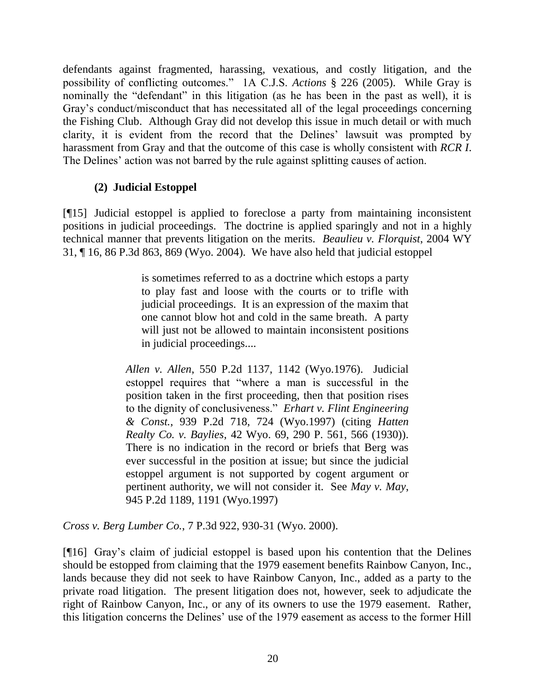defendants against fragmented, harassing, vexatious, and costly litigation, and the possibility of conflicting outcomes." 1A C.J.S. *Actions* § 226 (2005). While Gray is nominally the "defendant" in this litigation (as he has been in the past as well), it is Gray's conduct/misconduct that has necessitated all of the legal proceedings concerning the Fishing Club. Although Gray did not develop this issue in much detail or with much clarity, it is evident from the record that the Delines' lawsuit was prompted by harassment from Gray and that the outcome of this case is wholly consistent with *RCR I*. The Delines' action was not barred by the rule against splitting causes of action.

# **(2) Judicial Estoppel**

[¶15] Judicial estoppel is applied to foreclose a party from maintaining inconsistent positions in judicial proceedings. The doctrine is applied sparingly and not in a highly technical manner that prevents litigation on the merits. *Beaulieu v. Florquist*, 2004 WY 31, ¶ 16, 86 P.3d 863, 869 (Wyo. 2004). We have also held that judicial estoppel

> is sometimes referred to as a doctrine which estops a party to play fast and loose with the courts or to trifle with judicial proceedings. It is an expression of the maxim that one cannot blow hot and cold in the same breath. A party will just not be allowed to maintain inconsistent positions in judicial proceedings....

*Allen v. Allen*, 550 P.2d 1137, 1142 (Wyo.1976). Judicial estoppel requires that "where a man is successful in the position taken in the first proceeding, then that position rises to the dignity of conclusiveness." *Erhart v. Flint Engineering & Const.*, 939 P.2d 718, 724 (Wyo.1997) (citing *Hatten Realty Co. v. Baylies*, 42 Wyo. 69, 290 P. 561, 566 (1930)). There is no indication in the record or briefs that Berg was ever successful in the position at issue; but since the judicial estoppel argument is not supported by cogent argument or pertinent authority, we will not consider it. See *May v. May*, 945 P.2d 1189, 1191 (Wyo.1997)

*Cross v. Berg Lumber Co.*, 7 P.3d 922, 930-31 (Wyo. 2000).

[¶16] Gray's claim of judicial estoppel is based upon his contention that the Delines should be estopped from claiming that the 1979 easement benefits Rainbow Canyon, Inc., lands because they did not seek to have Rainbow Canyon, Inc., added as a party to the private road litigation. The present litigation does not, however, seek to adjudicate the right of Rainbow Canyon, Inc., or any of its owners to use the 1979 easement. Rather, this litigation concerns the Delines' use of the 1979 easement as access to the former Hill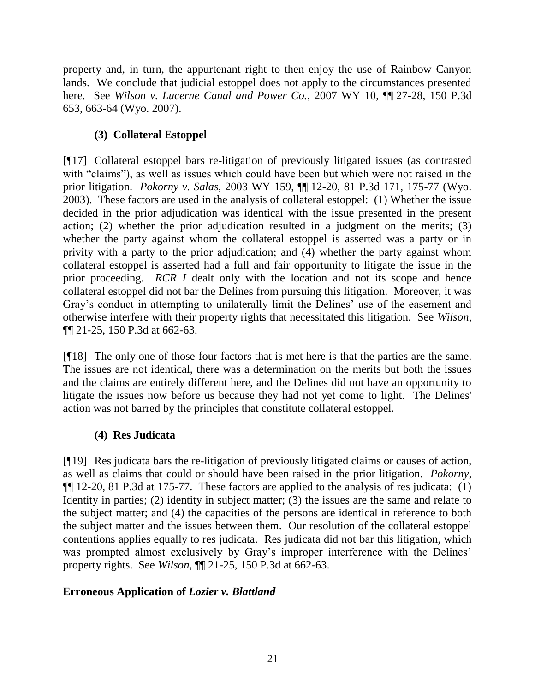property and, in turn, the appurtenant right to then enjoy the use of Rainbow Canyon lands. We conclude that judicial estoppel does not apply to the circumstances presented here. See *Wilson v. Lucerne Canal and Power Co.*, 2007 WY 10, ¶¶ 27-28, 150 P.3d 653, 663-64 (Wyo. 2007).

# **(3) Collateral Estoppel**

[¶17] Collateral estoppel bars re-litigation of previously litigated issues (as contrasted with "claims"), as well as issues which could have been but which were not raised in the prior litigation. *Pokorny v. Salas*, 2003 WY 159, ¶¶ 12-20, 81 P.3d 171, 175-77 (Wyo. 2003). These factors are used in the analysis of collateral estoppel: (1) Whether the issue decided in the prior adjudication was identical with the issue presented in the present action; (2) whether the prior adjudication resulted in a judgment on the merits; (3) whether the party against whom the collateral estoppel is asserted was a party or in privity with a party to the prior adjudication; and (4) whether the party against whom collateral estoppel is asserted had a full and fair opportunity to litigate the issue in the prior proceeding. *RCR I* dealt only with the location and not its scope and hence collateral estoppel did not bar the Delines from pursuing this litigation. Moreover, it was Gray's conduct in attempting to unilaterally limit the Delines' use of the easement and otherwise interfere with their property rights that necessitated this litigation. See *Wilson*, ¶¶ 21-25, 150 P.3d at 662-63.

[¶18] The only one of those four factors that is met here is that the parties are the same. The issues are not identical, there was a determination on the merits but both the issues and the claims are entirely different here, and the Delines did not have an opportunity to litigate the issues now before us because they had not yet come to light. The Delines' action was not barred by the principles that constitute collateral estoppel.

# **(4) Res Judicata**

[¶19] Res judicata bars the re-litigation of previously litigated claims or causes of action, as well as claims that could or should have been raised in the prior litigation. *Pokorny*, ¶¶ 12-20, 81 P.3d at 175-77. These factors are applied to the analysis of res judicata: (1) Identity in parties; (2) identity in subject matter; (3) the issues are the same and relate to the subject matter; and (4) the capacities of the persons are identical in reference to both the subject matter and the issues between them. Our resolution of the collateral estoppel contentions applies equally to res judicata. Res judicata did not bar this litigation, which was prompted almost exclusively by Gray's improper interference with the Delines' property rights. See *Wilson*, ¶¶ 21-25, 150 P.3d at 662-63.

# **Erroneous Application of** *Lozier v. Blattland*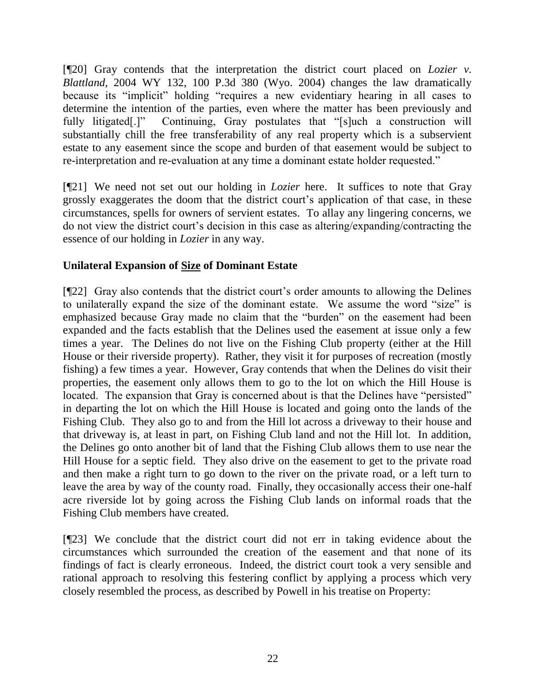[¶20] Gray contends that the interpretation the district court placed on *Lozier v. Blattland*, 2004 WY 132, 100 P.3d 380 (Wyo. 2004) changes the law dramatically because its "implicit" holding "requires a new evidentiary hearing in all cases to determine the intention of the parties, even where the matter has been previously and fully litigated.<sup>[1]</sup> Continuing, Gray postulates that "[s]uch a construction will substantially chill the free transferability of any real property which is a subservient estate to any easement since the scope and burden of that easement would be subject to re-interpretation and re-evaluation at any time a dominant estate holder requested."

[¶21] We need not set out our holding in *Lozier* here. It suffices to note that Gray grossly exaggerates the doom that the district court's application of that case, in these circumstances, spells for owners of servient estates. To allay any lingering concerns, we do not view the district court's decision in this case as altering/expanding/contracting the essence of our holding in *Lozier* in any way.

# **Unilateral Expansion of Size of Dominant Estate**

[¶22] Gray also contends that the district court's order amounts to allowing the Delines to unilaterally expand the size of the dominant estate. We assume the word "size" is emphasized because Gray made no claim that the "burden" on the easement had been expanded and the facts establish that the Delines used the easement at issue only a few times a year. The Delines do not live on the Fishing Club property (either at the Hill House or their riverside property). Rather, they visit it for purposes of recreation (mostly fishing) a few times a year. However, Gray contends that when the Delines do visit their properties, the easement only allows them to go to the lot on which the Hill House is located. The expansion that Gray is concerned about is that the Delines have "persisted" in departing the lot on which the Hill House is located and going onto the lands of the Fishing Club. They also go to and from the Hill lot across a driveway to their house and that driveway is, at least in part, on Fishing Club land and not the Hill lot. In addition, the Delines go onto another bit of land that the Fishing Club allows them to use near the Hill House for a septic field. They also drive on the easement to get to the private road and then make a right turn to go down to the river on the private road, or a left turn to leave the area by way of the county road. Finally, they occasionally access their one-half acre riverside lot by going across the Fishing Club lands on informal roads that the Fishing Club members have created.

[¶23] We conclude that the district court did not err in taking evidence about the circumstances which surrounded the creation of the easement and that none of its findings of fact is clearly erroneous. Indeed, the district court took a very sensible and rational approach to resolving this festering conflict by applying a process which very closely resembled the process, as described by Powell in his treatise on Property: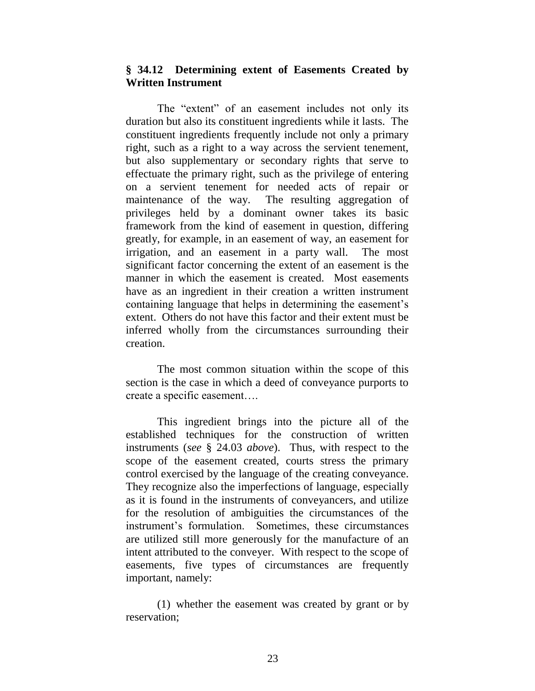### **§ 34.12 Determining extent of Easements Created by Written Instrument**

The "extent" of an easement includes not only its duration but also its constituent ingredients while it lasts. The constituent ingredients frequently include not only a primary right, such as a right to a way across the servient tenement, but also supplementary or secondary rights that serve to effectuate the primary right, such as the privilege of entering on a servient tenement for needed acts of repair or maintenance of the way. The resulting aggregation of privileges held by a dominant owner takes its basic framework from the kind of easement in question, differing greatly, for example, in an easement of way, an easement for irrigation, and an easement in a party wall. The most significant factor concerning the extent of an easement is the manner in which the easement is created. Most easements have as an ingredient in their creation a written instrument containing language that helps in determining the easement's extent. Others do not have this factor and their extent must be inferred wholly from the circumstances surrounding their creation.

The most common situation within the scope of this section is the case in which a deed of conveyance purports to create a specific easement….

This ingredient brings into the picture all of the established techniques for the construction of written instruments (*see* § 24.03 *above*). Thus, with respect to the scope of the easement created, courts stress the primary control exercised by the language of the creating conveyance. They recognize also the imperfections of language, especially as it is found in the instruments of conveyancers, and utilize for the resolution of ambiguities the circumstances of the instrument's formulation. Sometimes, these circumstances are utilized still more generously for the manufacture of an intent attributed to the conveyer. With respect to the scope of easements, five types of circumstances are frequently important, namely:

(1) whether the easement was created by grant or by reservation;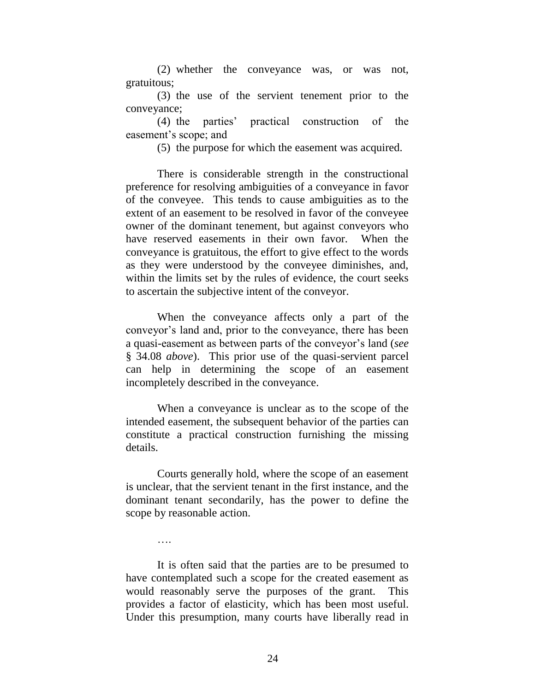(2) whether the conveyance was, or was not, gratuitous;

(3) the use of the servient tenement prior to the conveyance;

(4) the parties' practical construction of the easement's scope; and

(5) the purpose for which the easement was acquired.

There is considerable strength in the constructional preference for resolving ambiguities of a conveyance in favor of the conveyee. This tends to cause ambiguities as to the extent of an easement to be resolved in favor of the conveyee owner of the dominant tenement, but against conveyors who have reserved easements in their own favor. When the conveyance is gratuitous, the effort to give effect to the words as they were understood by the conveyee diminishes, and, within the limits set by the rules of evidence, the court seeks to ascertain the subjective intent of the conveyor.

When the conveyance affects only a part of the conveyor's land and, prior to the conveyance, there has been a quasi-easement as between parts of the conveyor's land (*see* § 34.08 *above*). This prior use of the quasi-servient parcel can help in determining the scope of an easement incompletely described in the conveyance.

When a conveyance is unclear as to the scope of the intended easement, the subsequent behavior of the parties can constitute a practical construction furnishing the missing details.

Courts generally hold, where the scope of an easement is unclear, that the servient tenant in the first instance, and the dominant tenant secondarily, has the power to define the scope by reasonable action.

….

It is often said that the parties are to be presumed to have contemplated such a scope for the created easement as would reasonably serve the purposes of the grant. This provides a factor of elasticity, which has been most useful. Under this presumption, many courts have liberally read in